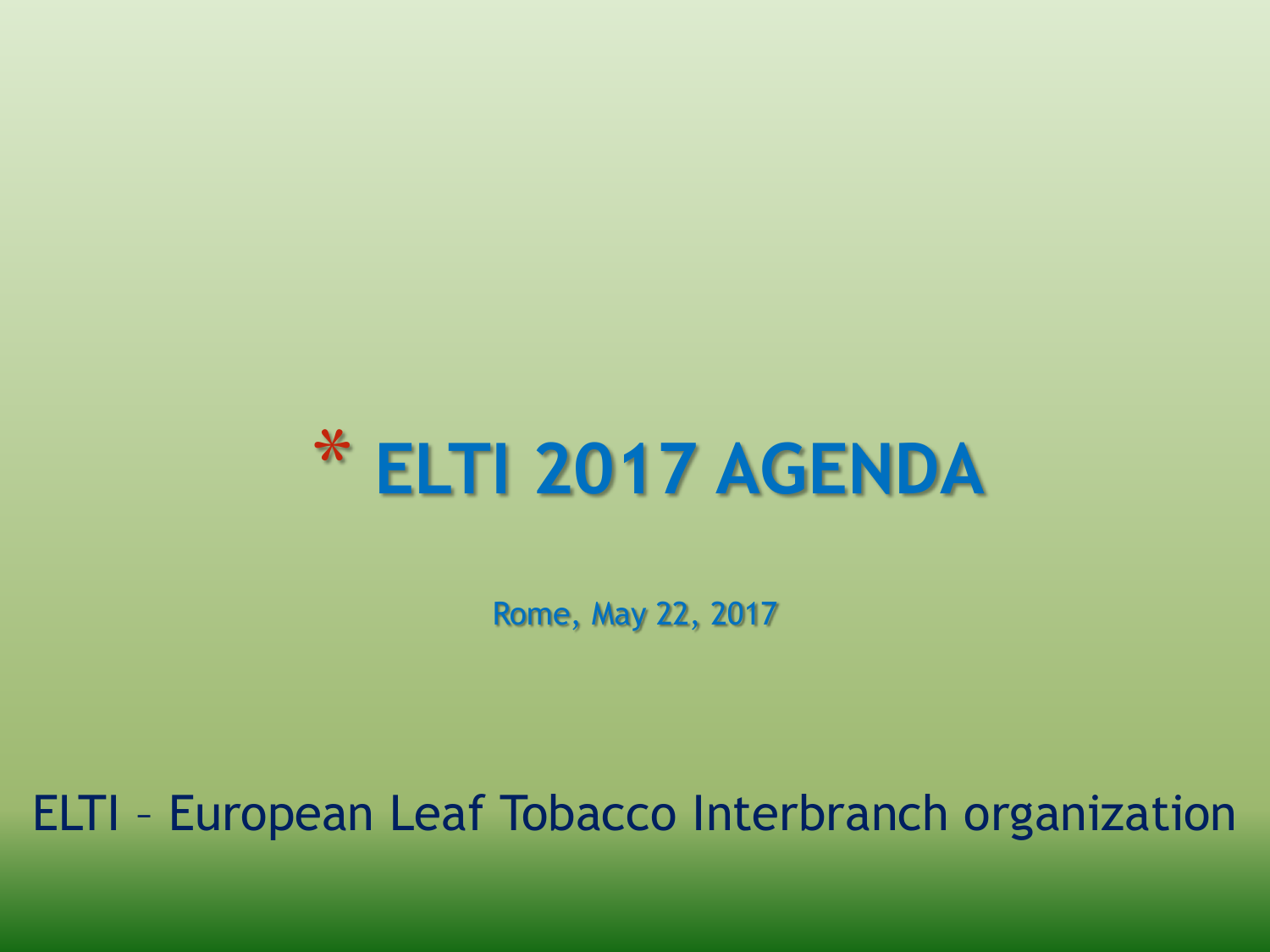

Rome, May 22, 2017

ELTI – European Leaf Tobacco Interbranch organization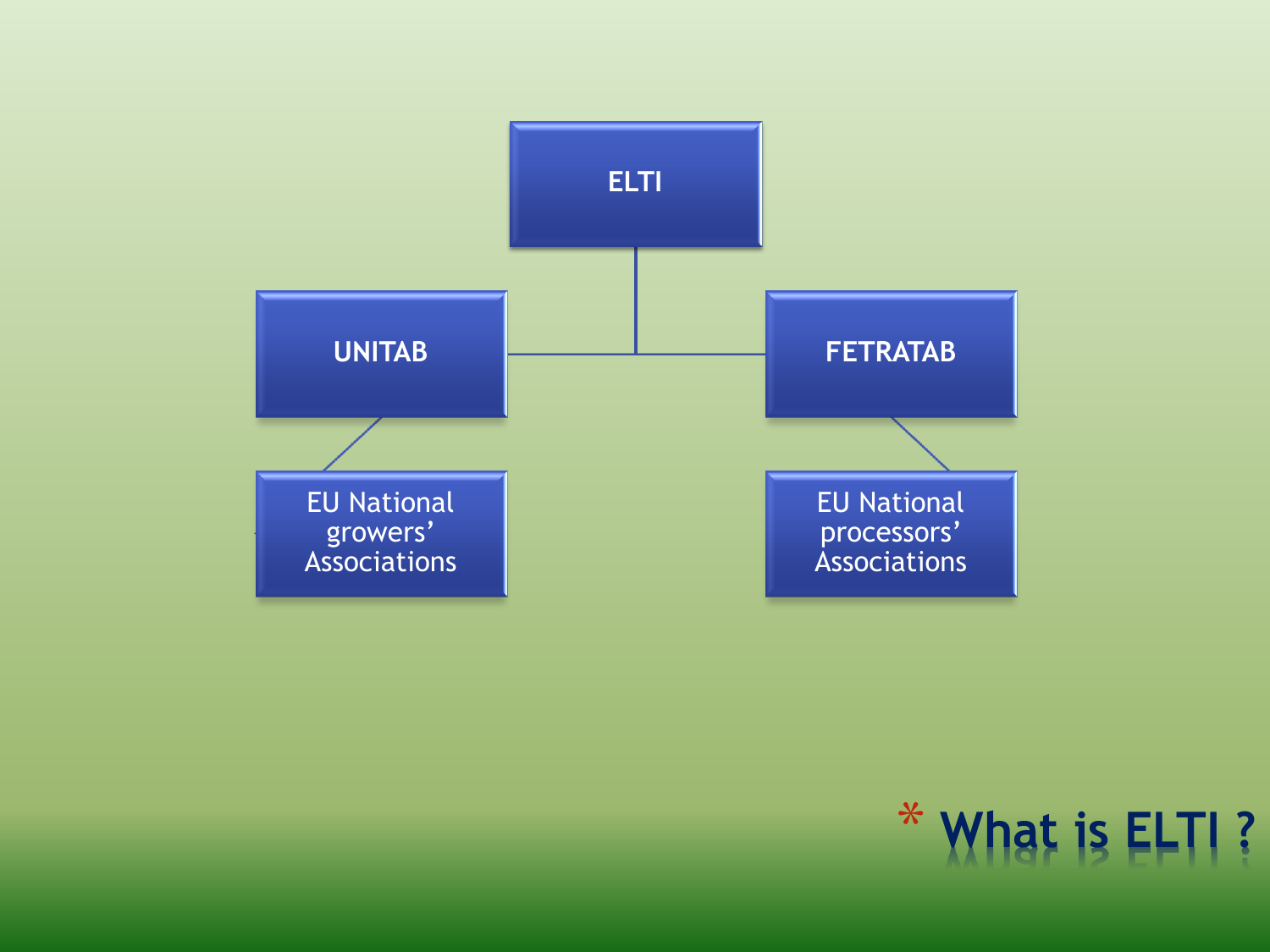

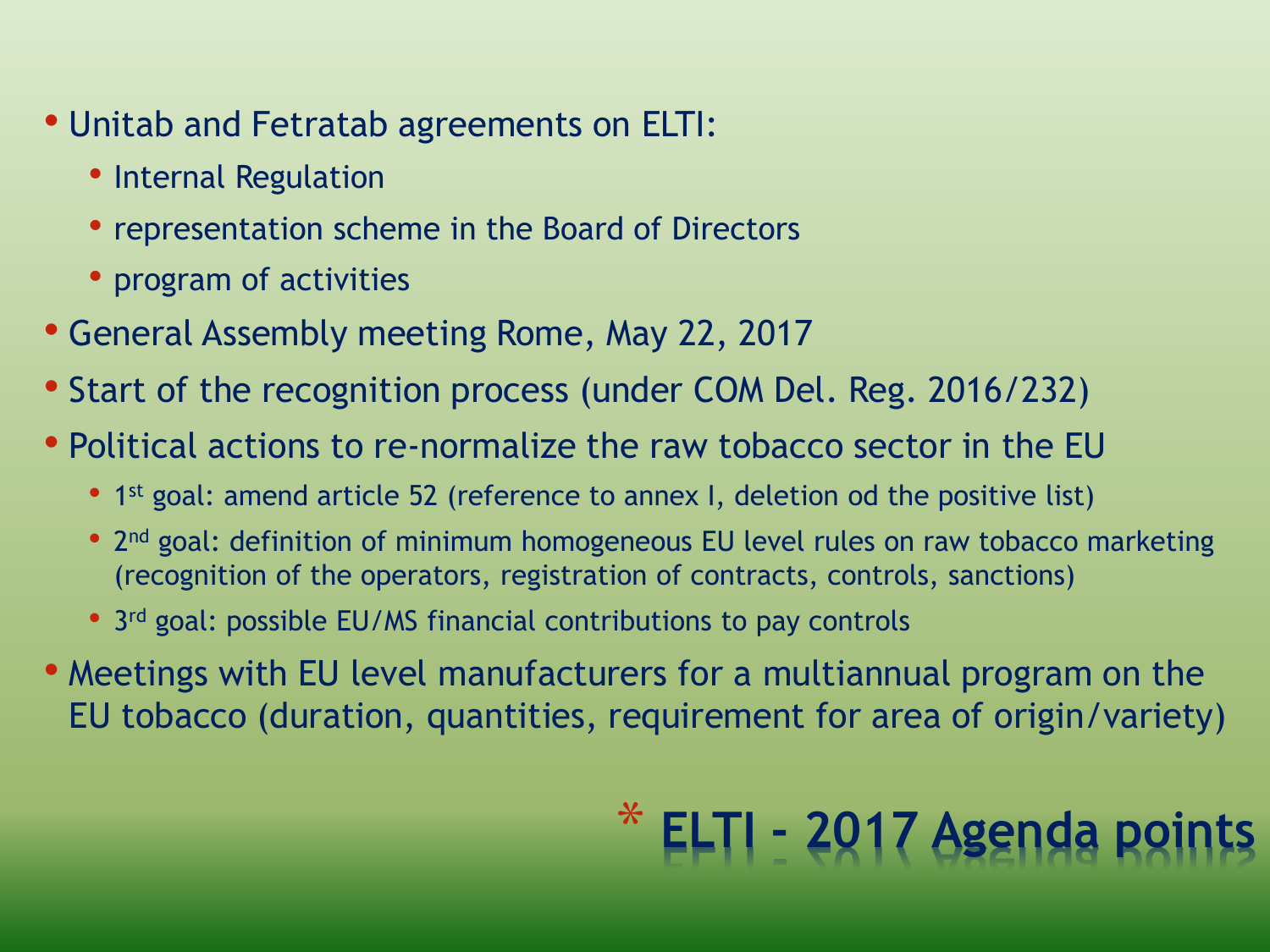- Unitab and Fetratab agreements on ELTI:
	- Internal Regulation
	- representation scheme in the Board of Directors
	- program of activities
- General Assembly meeting Rome, May 22, 2017
- Start of the recognition process (under COM Del. Reg. 2016/232)
- Political actions to re-normalize the raw tobacco sector in the EU
	- 1<sup>st</sup> goal: amend article 52 (reference to annex I, deletion od the positive list)
	- 2<sup>nd</sup> goal: definition of minimum homogeneous EU level rules on raw tobacco marketing (recognition of the operators, registration of contracts, controls, sanctions)
	- 3<sup>rd</sup> goal: possible EU/MS financial contributions to pay controls
- Meetings with EU level manufacturers for a multiannual program on the EU tobacco (duration, quantities, requirement for area of origin/variety)

## \* **ELTI - 2017 Agenda points**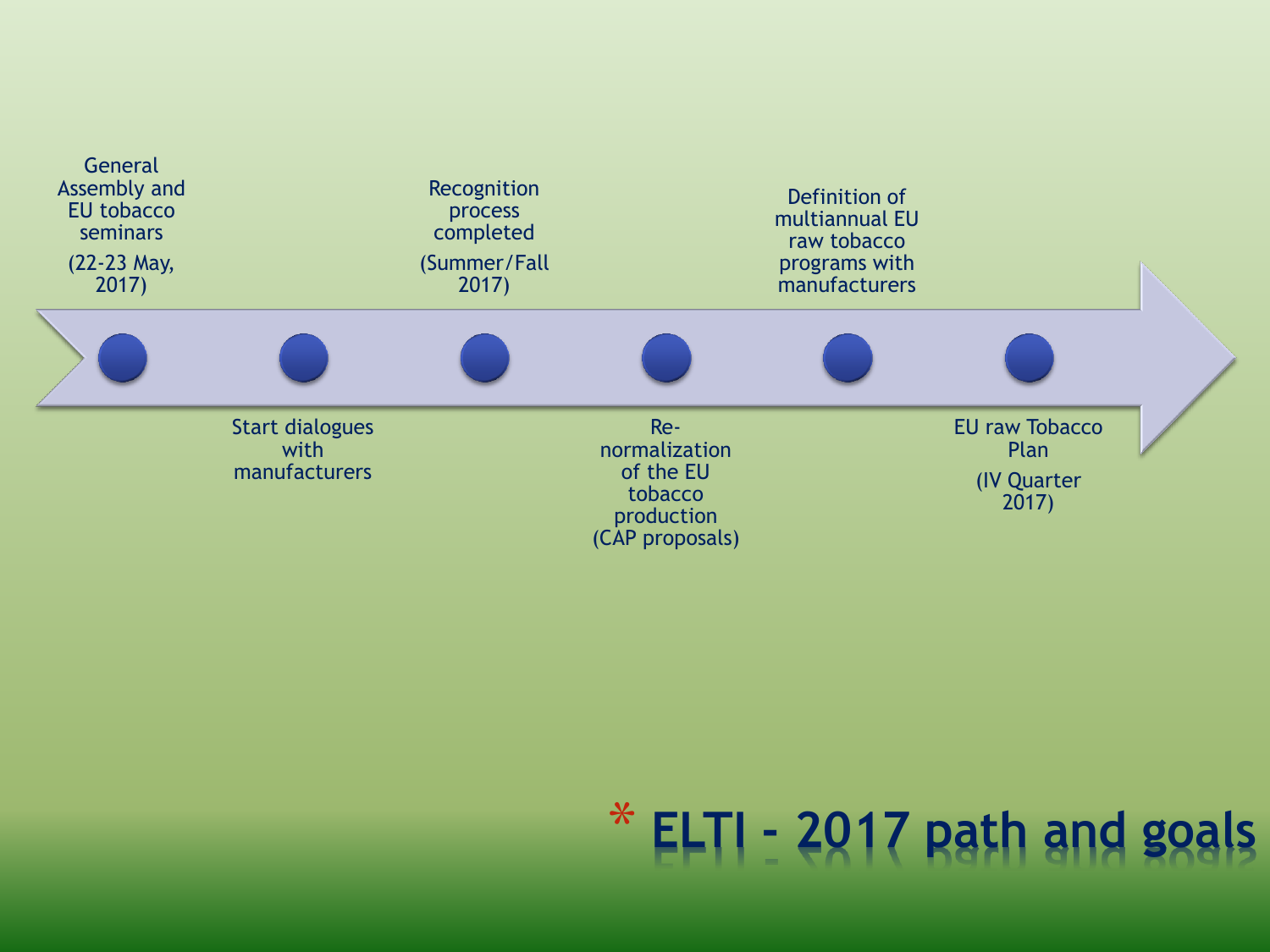

# \* **ELTI - 2017 path and goals**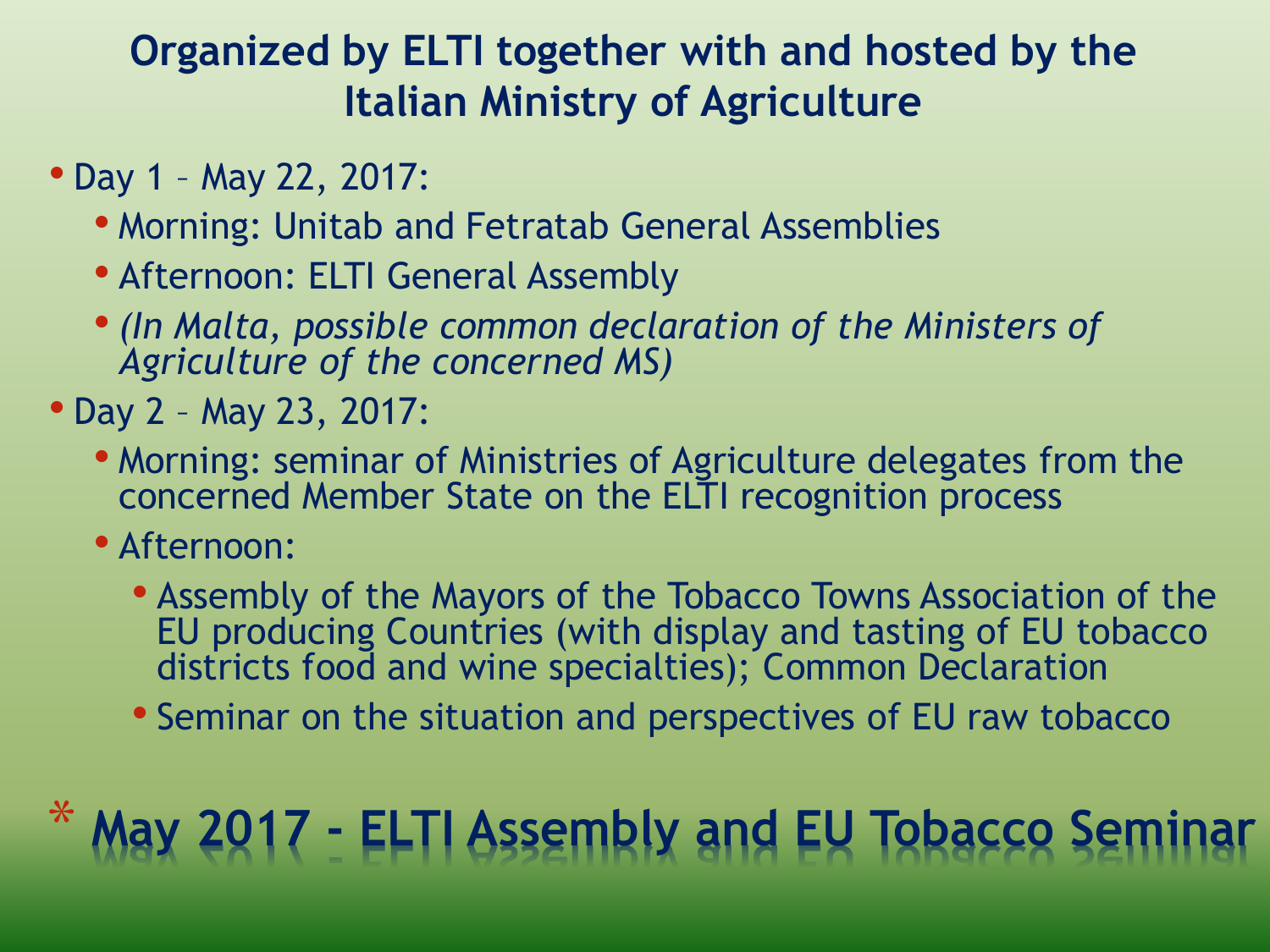#### **Organized by ELTI together with and hosted by the Italian Ministry of Agriculture**

- Day 1 May 22, 2017:
	- Morning: Unitab and Fetratab General Assemblies
	- Afternoon: ELTI General Assembly
	- *(In Malta, possible common declaration of the Ministers of Agriculture of the concerned MS)*
- Day 2 May 23, 2017:
	- Morning: seminar of Ministries of Agriculture delegates from the concerned Member State on the ELTI recognition process
	- Afternoon:
		- Assembly of the Mayors of the Tobacco Towns Association of the EU producing Countries (with display and tasting of EU tobacco districts food and wine specialties); Common Declaration
		- Seminar on the situation and perspectives of EU raw tobacco

### \* **May 2017 - ELTI Assembly and EU Tobacco Seminar**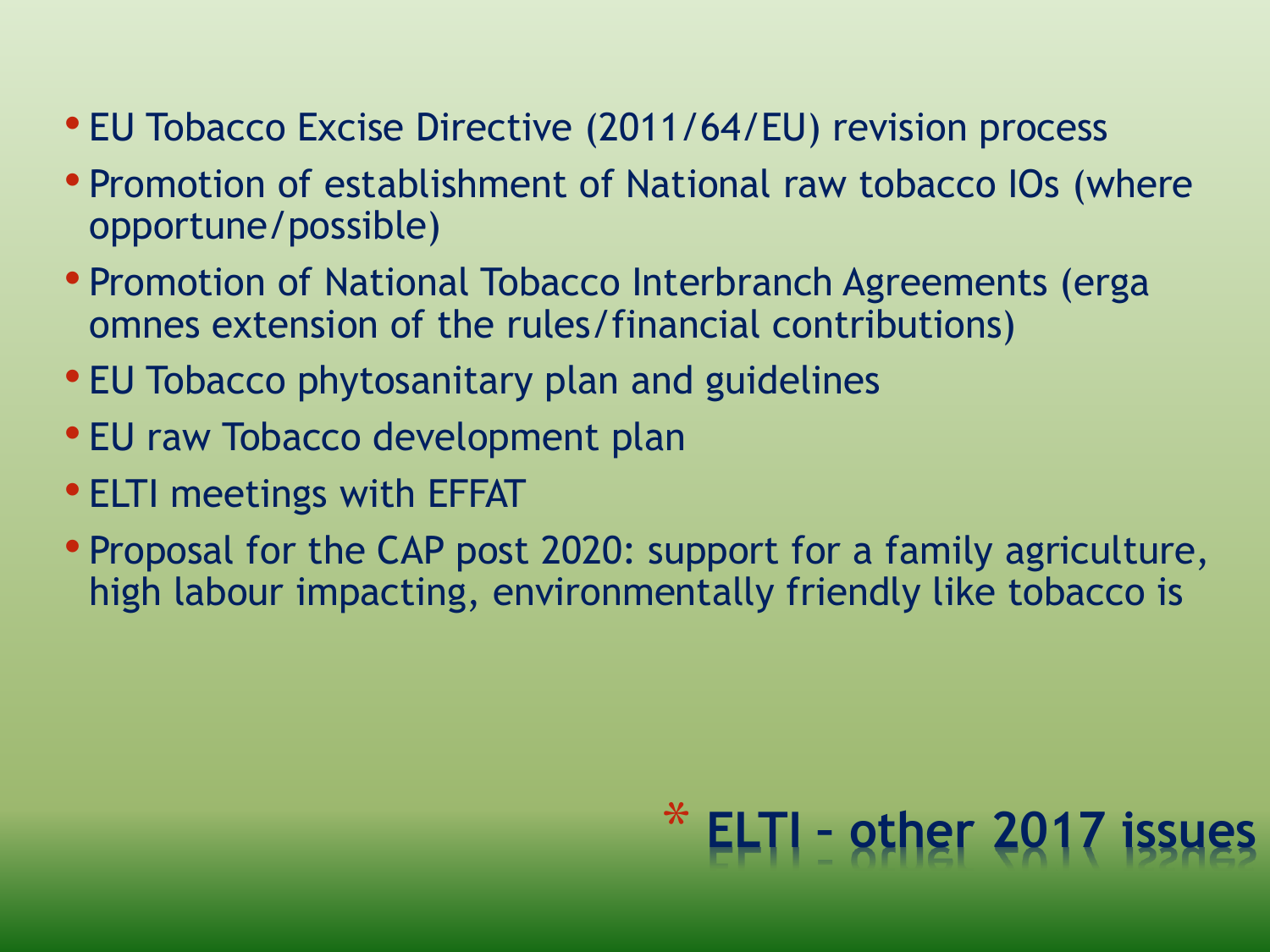- EU Tobacco Excise Directive (2011/64/EU) revision process
- Promotion of establishment of National raw tobacco IOs (where opportune/possible)
- Promotion of National Tobacco Interbranch Agreements (erga omnes extension of the rules/financial contributions)
- EU Tobacco phytosanitary plan and guidelines
- EU raw Tobacco development plan
- ELTI meetings with EFFAT
- Proposal for the CAP post 2020: support for a family agriculture, high labour impacting, environmentally friendly like tobacco is

# \* **ELTI – other 2017 issues**